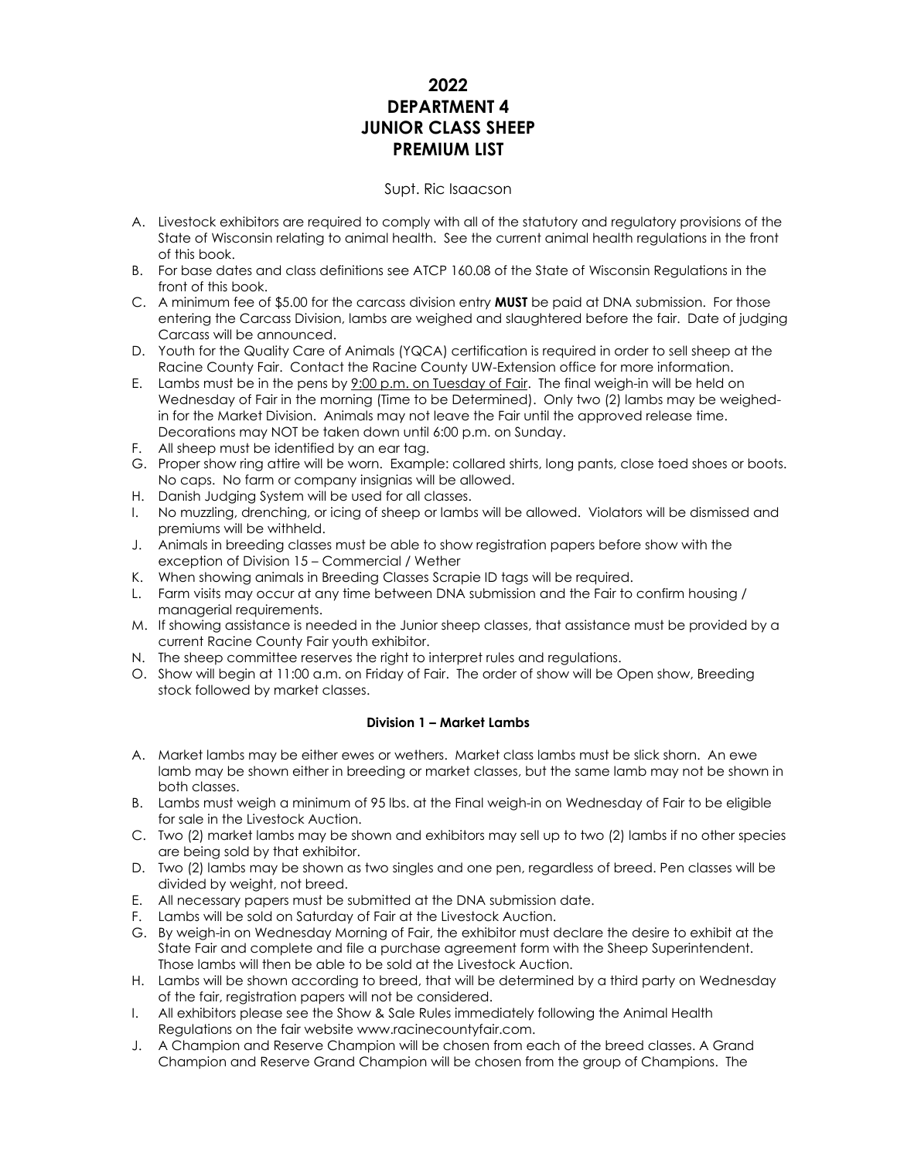# **2022 DEPARTMENT 4 JUNIOR CLASS SHEEP PREMIUM LIST**

# Supt. Ric Isaacson

- A. Livestock exhibitors are required to comply with all of the statutory and regulatory provisions of the State of Wisconsin relating to animal health. See the current animal health regulations in the front of this book.
- B. For base dates and class definitions see ATCP 160.08 of the State of Wisconsin Regulations in the front of this book.
- C. A minimum fee of \$5.00 for the carcass division entry **MUST** be paid at DNA submission. For those entering the Carcass Division, lambs are weighed and slaughtered before the fair. Date of judging Carcass will be announced.
- D. Youth for the Quality Care of Animals (YQCA) certification is required in order to sell sheep at the Racine County Fair. Contact the Racine County UW-Extension office for more information.
- E. Lambs must be in the pens by 9:00 p.m. on Tuesday of Fair. The final weigh-in will be held on Wednesday of Fair in the morning (Time to be Determined). Only two (2) lambs may be weighedin for the Market Division. Animals may not leave the Fair until the approved release time. Decorations may NOT be taken down until 6:00 p.m. on Sunday.
- F. All sheep must be identified by an ear tag.
- G. Proper show ring attire will be worn. Example: collared shirts, long pants, close toed shoes or boots. No caps. No farm or company insignias will be allowed.
- H. Danish Judging System will be used for all classes.
- I. No muzzling, drenching, or icing of sheep or lambs will be allowed. Violators will be dismissed and premiums will be withheld.
- J. Animals in breeding classes must be able to show registration papers before show with the exception of Division 15 – Commercial / Wether
- K. When showing animals in Breeding Classes Scrapie ID tags will be required.
- L. Farm visits may occur at any time between DNA submission and the Fair to confirm housing / managerial requirements.
- M. If showing assistance is needed in the Junior sheep classes, that assistance must be provided by a current Racine County Fair youth exhibitor.
- N. The sheep committee reserves the right to interpret rules and regulations.
- O. Show will begin at 11:00 a.m. on Friday of Fair. The order of show will be Open show, Breeding stock followed by market classes.

### **Division 1 – Market Lambs**

- A. Market lambs may be either ewes or wethers. Market class lambs must be slick shorn. An ewe lamb may be shown either in breeding or market classes, but the same lamb may not be shown in both classes.
- B. Lambs must weigh a minimum of 95 lbs. at the Final weigh-in on Wednesday of Fair to be eligible for sale in the Livestock Auction.
- C. Two (2) market lambs may be shown and exhibitors may sell up to two (2) lambs if no other species are being sold by that exhibitor.
- D. Two (2) lambs may be shown as two singles and one pen, regardless of breed. Pen classes will be divided by weight, not breed.
- E. All necessary papers must be submitted at the DNA submission date.
- F. Lambs will be sold on Saturday of Fair at the Livestock Auction.
- G. By weigh-in on Wednesday Morning of Fair, the exhibitor must declare the desire to exhibit at the State Fair and complete and file a purchase agreement form with the Sheep Superintendent. Those lambs will then be able to be sold at the Livestock Auction.
- H. Lambs will be shown according to breed, that will be determined by a third party on Wednesday of the fair, registration papers will not be considered.
- I. All exhibitors please see the Show & Sale Rules immediately following the Animal Health Regulations on the fair website www.racinecountyfair.com.
- J. A Champion and Reserve Champion will be chosen from each of the breed classes. A Grand Champion and Reserve Grand Champion will be chosen from the group of Champions. The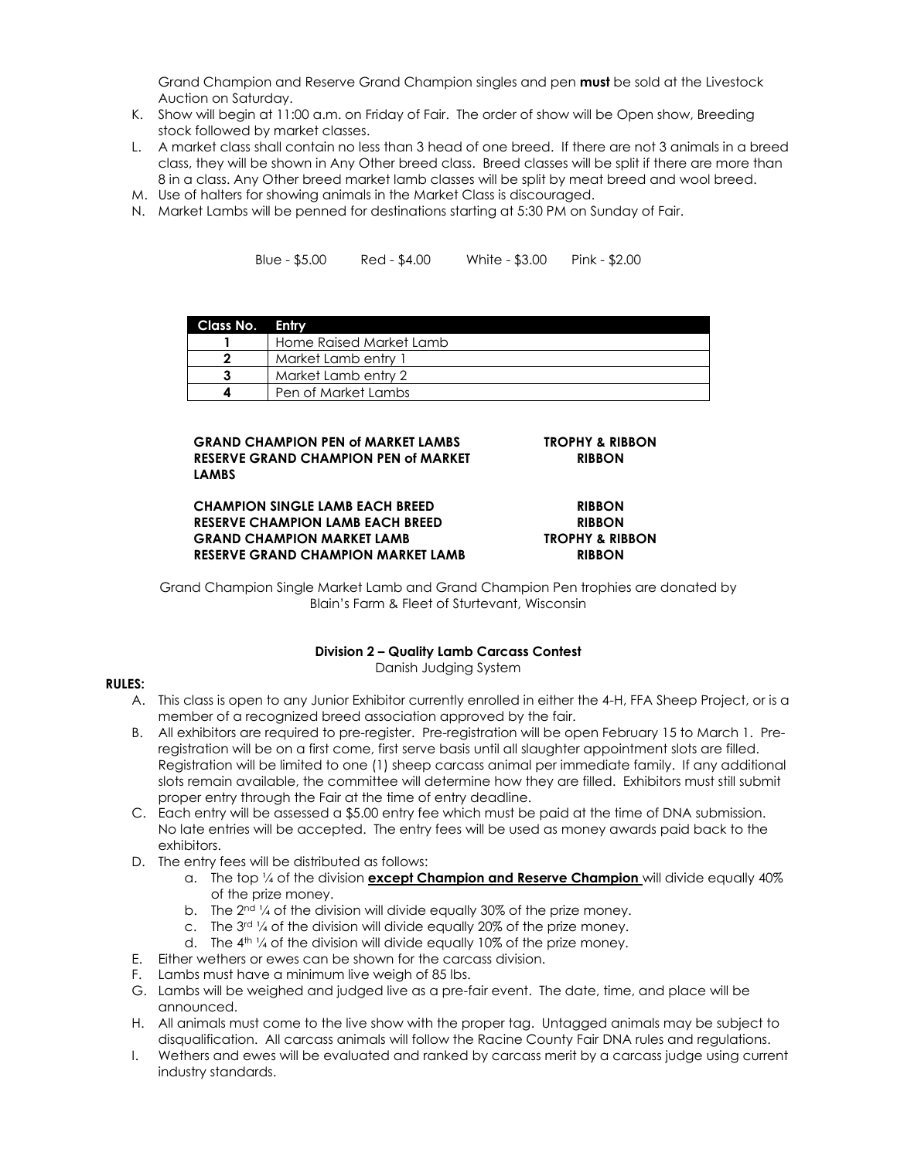Grand Champion and Reserve Grand Champion singles and pen **must** be sold at the Livestock Auction on Saturday.

- K. Show will begin at 11:00 a.m. on Friday of Fair. The order of show will be Open show, Breeding stock followed by market classes.
- L. A market class shall contain no less than 3 head of one breed. If there are not 3 animals in a breed class, they will be shown in Any Other breed class. Breed classes will be split if there are more than 8 in a class. Any Other breed market lamb classes will be split by meat breed and wool breed.
- M. Use of halters for showing animals in the Market Class is discouraged.
- N. Market Lambs will be penned for destinations starting at 5:30 PM on Sunday of Fair.

Blue - \$5.00 Red - \$4.00 White - \$3.00 Pink - \$2.00

| Class No. Entry |                         |
|-----------------|-------------------------|
|                 | Home Raised Market Lamb |
|                 | Market Lamb entry 1     |
|                 | Market Lamb entry 2     |
|                 | Pen of Market Lambs     |

**RIBBON**

### **GRAND CHAMPION PEN of MARKET LAMBS TROPHY & RIBBON RESERVE GRAND CHAMPION PEN of MARKET LAMBS**

# **CHAMPION SINGLE LAMB EACH BREED RIBBON RESERVE CHAMPION LAMB EACH BREED RIBBON GRAND CHAMPION MARKET LAMB TROPHY & RIBBON RESERVE GRAND CHAMPION MARKET LAMB RIBBON**

Grand Champion Single Market Lamb and Grand Champion Pen trophies are donated by Blain's Farm & Fleet of Sturtevant, Wisconsin

## **Division 2 – Quality Lamb Carcass Contest**

Danish Judging System

### **RULES:**

- A. This class is open to any Junior Exhibitor currently enrolled in either the 4-H, FFA Sheep Project, or is a member of a recognized breed association approved by the fair.
- B. All exhibitors are required to pre-register. Pre-registration will be open February 15 to March 1. Preregistration will be on a first come, first serve basis until all slaughter appointment slots are filled. Registration will be limited to one (1) sheep carcass animal per immediate family. If any additional slots remain available, the committee will determine how they are filled. Exhibitors must still submit proper entry through the Fair at the time of entry deadline.
- C. Each entry will be assessed a \$5.00 entry fee which must be paid at the time of DNA submission. No late entries will be accepted. The entry fees will be used as money awards paid back to the exhibitors.
- D. The entry fees will be distributed as follows:
	- a. The top ¼ of the division **except Champion and Reserve Champion** will divide equally 40% of the prize money.
	- b. The 2<sup>nd 1</sup>/4 of the division will divide equally 30% of the prize money.
	- c. The 3<sup>rd 1</sup>/4 of the division will divide equally 20% of the prize money.
	- d. The  $4<sup>th</sup>$  1/4 of the division will divide equally 10% of the prize money.
- E. Either wethers or ewes can be shown for the carcass division.
- F. Lambs must have a minimum live weigh of 85 lbs.
- G. Lambs will be weighed and judged live as a pre-fair event. The date, time, and place will be announced.
- H. All animals must come to the live show with the proper tag. Untagged animals may be subject to disqualification. All carcass animals will follow the Racine County Fair DNA rules and regulations.
- I. Wethers and ewes will be evaluated and ranked by carcass merit by a carcass judge using current industry standards.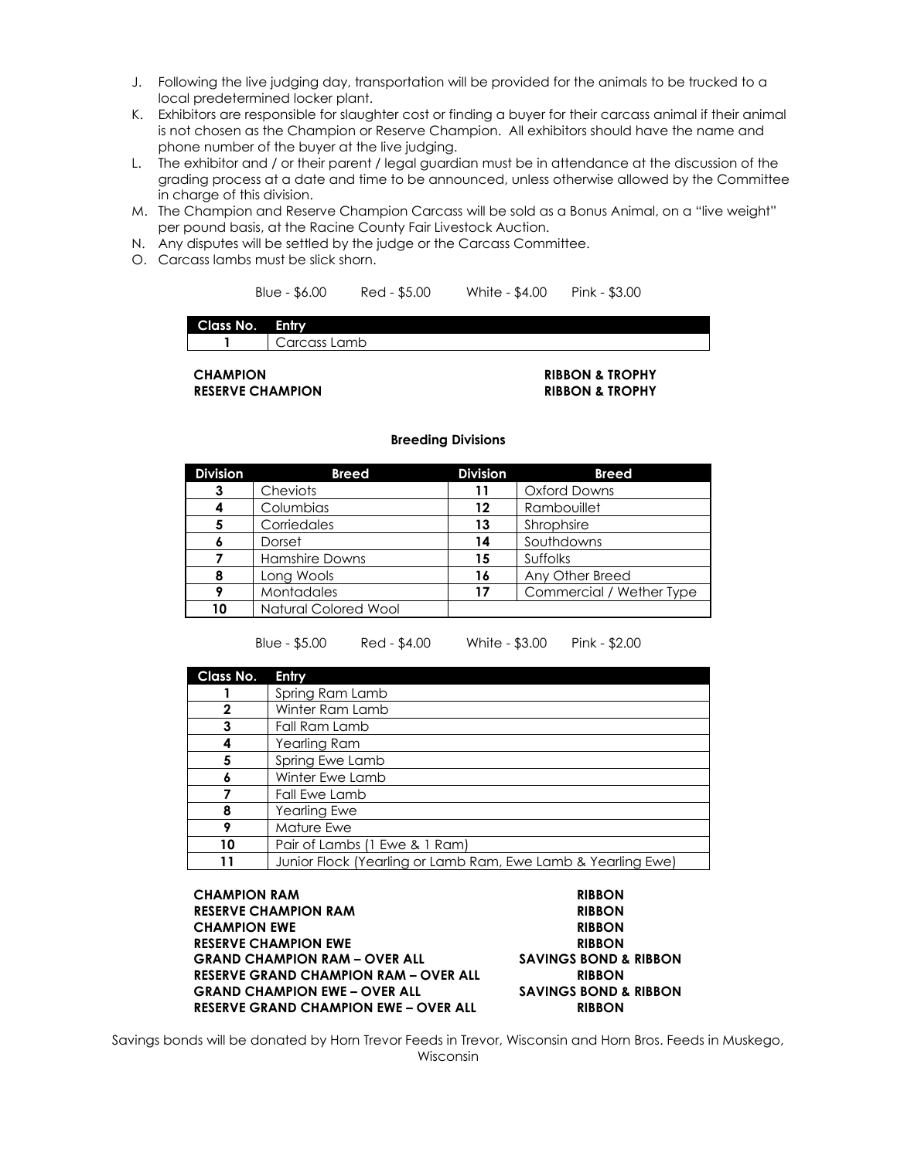- J. Following the live judging day, transportation will be provided for the animals to be trucked to a local predetermined locker plant.
- K. Exhibitors are responsible for slaughter cost or finding a buyer for their carcass animal if their animal is not chosen as the Champion or Reserve Champion. All exhibitors should have the name and phone number of the buyer at the live judging.
- L. The exhibitor and / or their parent / legal guardian must be in attendance at the discussion of the grading process at a date and time to be announced, unless otherwise allowed by the Committee in charge of this division.
- M. The Champion and Reserve Champion Carcass will be sold as a Bonus Animal, on a "live weight" per pound basis, at the Racine County Fair Livestock Auction.
- N. Any disputes will be settled by the judge or the Carcass Committee.
- O. Carcass lambs must be slick shorn.

Blue - \$6.00 Red - \$5.00 White - \$4.00 Pink - \$3.00

# **Class No. Entry**

**1** Carcass Lamb

**RESERVE CHAMPION RIBBON & TROPHY**

# **CHAMPION RIBBON & TROPHY**

#### **Breeding Divisions**

| <b>Division</b> | <b>Breed</b>                | <b>Division</b> | <b>Breed</b>             |
|-----------------|-----------------------------|-----------------|--------------------------|
| 3               | Cheviots                    | 11              | <b>Oxford Downs</b>      |
|                 | Columbias                   | 12              | Rambouillet              |
|                 | Corriedales                 | 13              | Shrophsire               |
|                 | Dorset                      | 14              | Southdowns               |
|                 | Hamshire Downs              | 15              | Suffolks                 |
| 8               | Long Wools                  | 16              | Any Other Breed          |
|                 | <b>Montadales</b>           | 17              | Commercial / Wether Type |
| 10              | <b>Natural Colored Wool</b> |                 |                          |

Blue - \$5.00 Red - \$4.00 White - \$3.00 Pink - \$2.00

| Class No. | Entry                                                        |
|-----------|--------------------------------------------------------------|
|           | Spring Ram Lamb                                              |
| 2         | Winter Ram Lamb                                              |
| 3         | Fall Ram Lamb                                                |
|           | Yearling Ram                                                 |
| 5         | Spring Ewe Lamb                                              |
|           | Winter Ewe Lamb                                              |
|           | Fall Ewe Lamb                                                |
| 8         | <b>Yearling Ewe</b>                                          |
| Q         | Mature Ewe                                                   |
| 10        | Pair of Lambs (1 Ewe & 1 Ram)                                |
|           | Junior Flock (Yearling or Lamb Ram, Ewe Lamb & Yearling Ewe) |

**CHAMPION RAM RIBBON RESERVE CHAMPION RAM RIBBON CHAMPION EWE RIBBON RESERVE CHAMPION EWE RIBBON GRAND CHAMPION RAM – OVER ALL SAVINGS BOND & RIBBON RESERVE GRAND CHAMPION RAM – OVER ALL RIBBON GRAND CHAMPION EWE – OVER ALL SAVINGS BOND & RIBBON RESERVE GRAND CHAMPION EWE – OVER ALL RIBBON**

Savings bonds will be donated by Horn Trevor Feeds in Trevor, Wisconsin and Horn Bros. Feeds in Muskego, Wisconsin